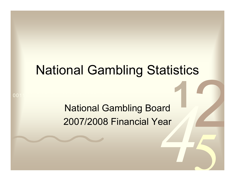# National Gambling Statistics

National Gambling Board 2007/2008 Financial Year

0011 0010 1010 1101 0001 0100 1011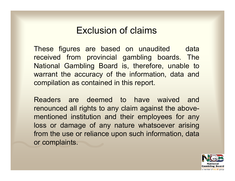#### Exclusion of claims

These figures are based on unaudited data received from provincial gambling boards. The National Gambling Board is, therefore, unable to warrant the accuracy of the information, data and compilation as contained in this report.

Readers are deemed to have waived and renounced all rights to any claim against the abovementioned institution and their employees for any loss or damage of any nature whatsoever arising from the use or reliance upon such information, data or complaints.

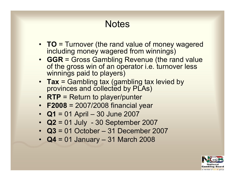## **Notes**

- **TO** = Turnover (the rand value of money wagered including money wagered from winnings)
- **GGR** = Gross Gambling Revenue (the rand value of the gross win of an operator i.e. turnover less winnings paid to players)
- **Tax** = Gambling tax (gambling tax levied by provinces and collected by PLAs)
- **RTP** = Return to player/punter
- **F2008** = 2007/2008 financial year
- **Q1** = 01 April 30 June 2007
- **Q2** = 01 July 30 September 2007
- **Q3** = 01 October 31 December 2007
- **Q4** = 01 January 31 March 2008

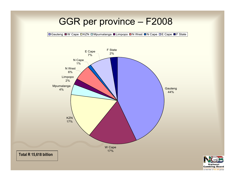#### GGR per province – F2008

**■Gauteng ■W Cape DKZN DMpumalanga ■Limpopo ■N West ■N Cape DE Cape ■F State** 

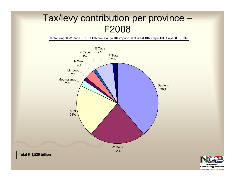## Tax/levy contribution per province – F2008

**■Gauteng ■W Cape ロKZN ロMpumalanga ■Limpopo ■N West ■N Cape □E Cape ■F State** 



a member of the dti group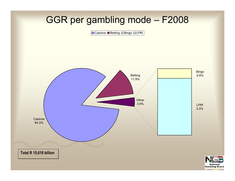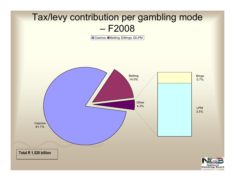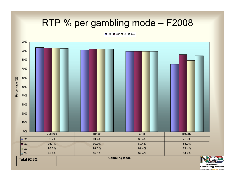## RTP % per gambling mode – F2008

Q1 Q2 Q3 Q4

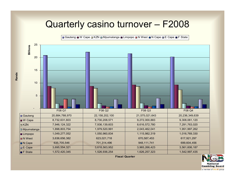#### Quarterly casino turnover – F2008

| Gauteng ■ W Cape ■ KZN ■ Mpumalanga ■ Limpopo ■ N West ■ N Cape ■ E Cape ■ F State



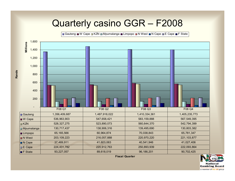#### Quarterly casino GGR – F2008

Gauteng W Cape GKZN G Mpumalanga B Limpopo GN West GN Cape GE Cape BF State



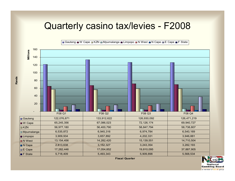#### Quarterly casino tax/levies - F2008



**Rands**

Gauteng W Cape **KZN** Mpumalanga Limpopo N West N Cape N Cape F State

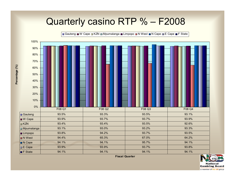#### Quarterly casino RTP % – F2008



**Fiscal Quarter**



Percentage (%) **Percentage (%)**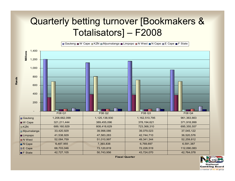## Quarterly betting turnover [Bookmakers & Totalisators] – F2008

**■ Gauteng ■ W Cape ■ KZN □ Mpumalanga ■ Limpopo ■ N West ■ N Cape ■ E Cape ■ F State** 



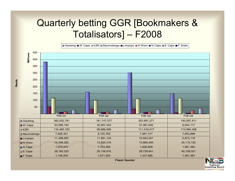## Quarterly betting GGR [Bookmakers & Totalisators] – F2008

**■ Gauteng ■ W Cape ■ KZN ■ Mpumalanga ■ Limpopo ■ N West ■ N Cape ■ E Cape ■ F State** 



**Rands**

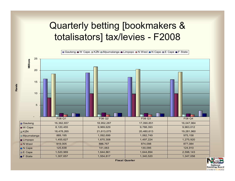## Quarterly betting [bookmakers & totalisators] tax/levies - F2008



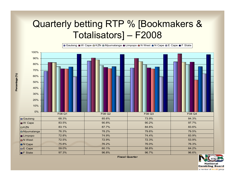## Quarterly betting RTP % [Bookmakers & Totalisators] – F2008



**Fiscal Quarter**



Percentage (%) **Percentage (%)**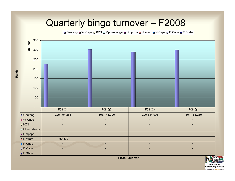#### Quarterly bingo turnover – F2008

Gauteng W Cape N KZN N Mpumalanga Limpopo N West N Cape N E Cape F State



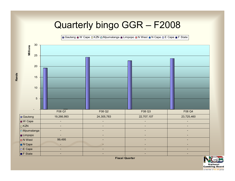## Quarterly bingo GGR – F2008

 $\Box$  Gauteng ■ W Cape  $\Box$  KZN  $\Box$  Mpumalanga ■ Limpopo ■ N West ■ N Cape  $\Box$  E Cape ■ F State

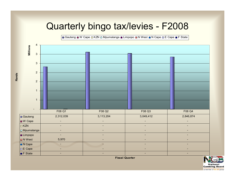## Quarterly bingo tax/levies - F2008

B Gauteng ■ W Cape □ KZN □ Mpumalanga ■ Limpopo ■ N West ■ N Cape □ E Cape ■ F State

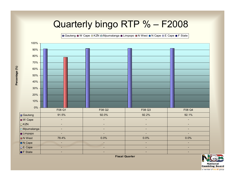## Quarterly bingo RTP % – F2008

B Gauteng W Cape DKZN D Mpumalanga W Limpopo W West N Cape DE Cape W F State



**Percentage (%)**

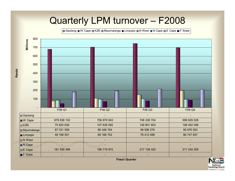#### Quarterly LPM turnover – F2008

**Gauteng W Cape E KZN E Mpumalanga WE Limpopo E N West E N Cape E Cape WE State** 



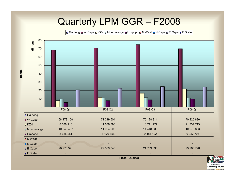#### Quarterly LPM GGR – F2008

Gauteng W Cape DKZN D Mpumalanga W Limpopo D N West D N Cape DE Cape DF State



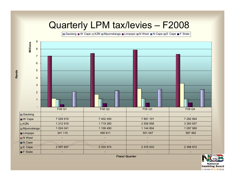## Quarterly LPM tax/levies – F2008

Gauteng W Cape DKZN Mpumalanga W Limpopo N West N Cape N E Cape W F State



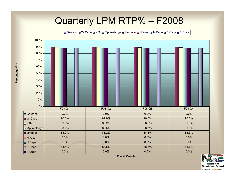#### Quarterly LPM RTP% – F2008

Gauteng W Cape  $\Box$  KZN  $\Box$  Mpumalanga W Limpopo  $\Box$  N West  $\Box$  N Cape  $\Box$  E Cape  $\Box$  F State



**Fiscal Quarter**



Percentage (%) **Percentage (%)**